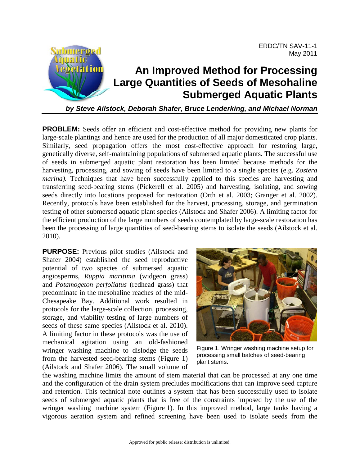

*by Steve Ailstock, Deborah Shafer, Bruce Lenderking, and Michael Norman*

**PROBLEM:** Seeds offer an efficient and cost-effective method for providing new plants for large-scale plantings and hence are used for the production of all major domesticated crop plants. Similarly, seed propagation offers the most cost-effective approach for restoring large, genetically diverse, self-maintaining populations of submersed aquatic plants. The successful use of seeds in submerged aquatic plant restoration has been limited because methods for the harvesting, processing, and sowing of seeds have been limited to a single species (e.g. *Zostera marina*). Techniques that have been successfully applied to this species are harvesting and transferring seed-bearing stems (Pickerell et al. 2005) and harvesting, isolating, and sowing seeds directly into locations proposed for restoration (Orth et al. 2003; Granger et al. 2002). Recently, protocols have been established for the harvest, processing, storage, and germination testing of other submersed aquatic plant species (Ailstock and Shafer 2006). A limiting factor for the efficient production of the large numbers of seeds contemplated by large-scale restoration has been the processing of large quantities of seed-bearing stems to isolate the seeds (Ailstock et al. 2010).

**PURPOSE:** Previous pilot studies (Ailstock and Shafer 2004) established the seed reproductive potential of two species of submersed aquatic angiosperms, *Ruppia maritima* (widgeon grass) and *Potamogeton perfoliatus* (redhead grass) that predominate in the mesohaline reaches of the mid-Chesapeake Bay. Additional work resulted in protocols for the large-scale collection, processing, storage, and viability testing of large numbers of seeds of these same species (Ailstock et al. 2010). A limiting factor in these protocols was the use of mechanical agitation using an old-fashioned wringer washing machine to dislodge the seeds from the harvested seed-bearing stems (Figure 1) (Ailstock and Shafer 2006). The small volume of



Figure 1. Wringer washing machine setup for processing small batches of seed-bearing plant stems.

the washing machine limits the amount of stem material that can be processed at any one time and the configuration of the drain system precludes modifications that can improve seed capture and retention. This technical note outlines a system that has been successfully used to isolate seeds of submerged aquatic plants that is free of the constraints imposed by the use of the wringer washing machine system (Figure 1). In this improved method, large tanks having a vigorous aeration system and refined screening have been used to isolate seeds from the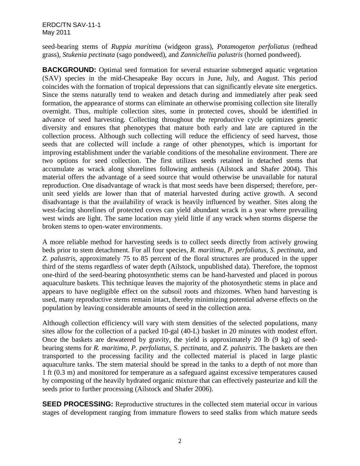ERDC/TN SAV-11-1 May 2011

seed-bearing stems of *Ruppia maritima* (widgeon grass), *Potamogeton perfoliatus* (redhead grass), *Stukenia pectinata* (sago pondweed), and *Zannichellia palustris* (horned pondweed).

**BACKGROUND:** Optimal seed formation for several estuarine submerged aquatic vegetation (SAV) species in the mid-Chesapeake Bay occurs in June, July, and August. This period coincides with the formation of tropical depressions that can significantly elevate site energetics. Since the stems naturally tend to weaken and detach during and immediately after peak seed formation, the appearance of storms can eliminate an otherwise promising collection site literally overnight. Thus, multiple collection sites, some in protected coves, should be identified in advance of seed harvesting. Collecting throughout the reproductive cycle optimizes genetic diversity and ensures that phenotypes that mature both early and late are captured in the collection process. Although such collecting will reduce the efficiency of seed harvest, those seeds that are collected will include a range of other phenotypes, which is important for improving establishment under the variable conditions of the mesohaline environment. There are two options for seed collection. The first utilizes seeds retained in detached stems that accumulate as wrack along shorelines following anthesis (Ailstock and Shafer 2004). This material offers the advantage of a seed source that would otherwise be unavailable for natural reproduction. One disadvantage of wrack is that most seeds have been dispersed; therefore, perunit seed yields are lower than that of material harvested during active growth. A second disadvantage is that the availability of wrack is heavily influenced by weather. Sites along the west-facing shorelines of protected coves can yield abundant wrack in a year where prevailing west winds are light. The same location may yield little if any wrack when storms disperse the broken stems to open-water environments.

A more reliable method for harvesting seeds is to collect seeds directly from actively growing beds prior to stem detachment. For all four species, *R. maritima, P. perfoliatus*, *S. pectinata,* and *Z. palustris*, approximately 75 to 85 percent of the floral structures are produced in the upper third of the stems regardless of water depth (Ailstock, unpublished data). Therefore, the topmost one-third of the seed-bearing photosynthetic stems can be hand-harvested and placed in porous aquaculture baskets. This technique leaves the majority of the photosynthetic stems in place and appears to have negligible effect on the subsoil roots and rhizomes. When hand harvesting is used, many reproductive stems remain intact, thereby minimizing potential adverse effects on the population by leaving considerable amounts of seed in the collection area.

Although collection efficiency will vary with stem densities of the selected populations, many sites allow for the collection of a packed 10-gal (40-L) basket in 20 minutes with modest effort. Once the baskets are dewatered by gravity, the yield is approximately 20 lb (9 kg) of seedbearing stems for *R. maritima, P. perfoliatus, S. pectinata,* and *Z. palustris*. The baskets are then transported to the processing facility and the collected material is placed in large plastic aquaculture tanks. The stem material should be spread in the tanks to a depth of not more than 1 ft (0.3 m) and monitored for temperature as a safeguard against excessive temperatures caused by composting of the heavily hydrated organic mixture that can effectively pasteurize and kill the seeds prior to further processing (Ailstock and Shafer 2006).

**SEED PROCESSING:** Reproductive structures in the collected stem material occur in various stages of development ranging from immature flowers to seed stalks from which mature seeds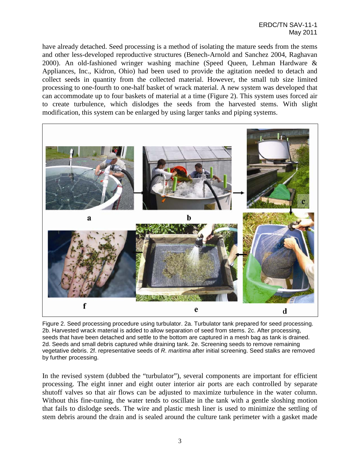have already detached. Seed processing is a method of isolating the mature seeds from the stems and other less-developed reproductive structures (Benech-Arnold and Sanchez 2004, Raghavan 2000). An old-fashioned wringer washing machine (Speed Queen, Lehman Hardware & Appliances, Inc., Kidron, Ohio) had been used to provide the agitation needed to detach and collect seeds in quantity from the collected material. However, the small tub size limited processing to one-fourth to one-half basket of wrack material. A new system was developed that can accommodate up to four baskets of material at a time (Figure 2). This system uses forced air to create turbulence, which dislodges the seeds from the harvested stems. With slight modification, this system can be enlarged by using larger tanks and piping systems.



Figure 2. Seed processing procedure using turbulator. 2a. Turbulator tank prepared for seed processing. 2b. Harvested wrack material is added to allow separation of seed from stems. 2c. After processing, seeds that have been detached and settle to the bottom are captured in a mesh bag as tank is drained. 2d. Seeds and small debris captured while draining tank. 2e. Screening seeds to remove remaining vegetative debris. 2f. representative seeds of *R. maritima* after initial screening. Seed stalks are removed by further processing.

In the revised system (dubbed the "turbulator"), several components are important for efficient processing. The eight inner and eight outer interior air ports are each controlled by separate shutoff valves so that air flows can be adjusted to maximize turbulence in the water column. Without this fine-tuning, the water tends to oscillate in the tank with a gentle sloshing motion that fails to dislodge seeds. The wire and plastic mesh liner is used to minimize the settling of stem debris around the drain and is sealed around the culture tank perimeter with a gasket made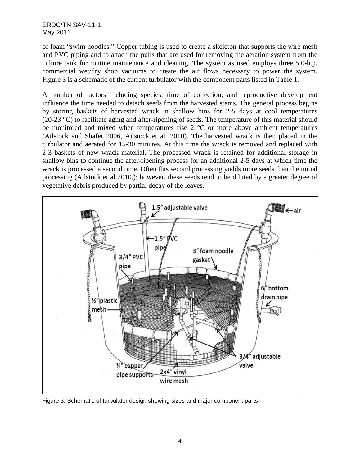ERDC/TN SAV-11-1 May 2011

of foam "swim noodles." Copper tubing is used to create a skeleton that supports the wire mesh and PVC piping and to attach the pulls that are used for removing the aeration system from the culture tank for routine maintenance and cleaning. The system as used employs three 5.0-h.p. commercial wet/dry shop vacuums to create the air flows necessary to power the system. Figure 3 is a schematic of the current turbulator with the component parts listed in Table 1.

A number of factors including species, time of collection, and reproductive development influence the time needed to detach seeds from the harvested stems. The general process begins by storing baskets of harvested wrack in shallow bins for 2-5 days at cool temperatures (20-23 °C) to facilitate aging and after-ripening of seeds. The temperature of this material should be monitored and mixed when temperatures rise  $2 \degree C$  or more above ambient temperatures (Ailstock and Shafer 2006, Ailstock et al. 2010). The harvested wrack is then placed in the turbulator and aerated for 15-30 minutes. At this time the wrack is removed and replaced with 2-3 baskets of new wrack material. The processed wrack is retained for additional storage in shallow bins to continue the after-ripening process for an additional 2-5 days at which time the wrack is processed a second time. Often this second processing yields more seeds than the initial processing (Ailstock et al 2010.); however, these seeds tend to be diluted by a greater degree of vegetative debris produced by partial decay of the leaves.



Figure 3. Schematic of turbulator design showing sizes and major component parts.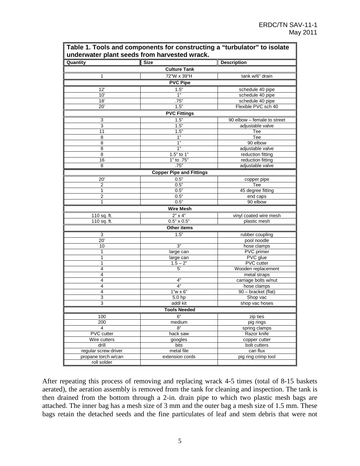| Quantity             | <b>Size</b>                     | <b>Description</b>                      |
|----------------------|---------------------------------|-----------------------------------------|
|                      | <b>Culture Tank</b>             |                                         |
| $\mathbf{1}$         | 72"W x 39"H                     | tank w/6" drain                         |
|                      | <b>PVC Pipe</b>                 |                                         |
|                      |                                 |                                         |
| 12'                  | 1.5"<br>1"                      | schedule 40 pipe                        |
| 10'                  |                                 | schedule 40 pipe                        |
| 18'                  | .75"<br>1.5"                    | schedule 40 pipe<br>Flexible PVC sch 40 |
| 20'                  |                                 |                                         |
|                      | <b>PVC Fittings</b>             |                                         |
| 3                    | 1.5"                            | 90 elbow - female to street             |
| 3                    | 1.5"                            | adjustable valve                        |
| 11                   | 1.5"                            | Tee                                     |
| 8                    | 1"                              | Tee                                     |
| 8                    | 1"                              | 90 elbow                                |
| 8                    | 1"                              | adjustable valve                        |
| 8                    | 1.5" to 1"                      | reduction fitting                       |
| 16                   | 1" to .75"                      | reduction fitting                       |
| 8                    | .75"                            | adjustable valve                        |
|                      | <b>Copper Pipe and Fittings</b> |                                         |
| 20'                  | 0.5"                            | copper pipe                             |
| 2                    | 0.5"                            | Tee                                     |
| 1                    | 0.5"                            | 45 degree fitting                       |
| $\overline{2}$       | 0.5"                            | end caps                                |
| 1                    | 0.5"                            | 90 elbow                                |
|                      | <b>Wire Mesh</b>                |                                         |
| 110 sq. ft.          | $2" \times 4"$                  | vinyl coated wire mesh                  |
| 110 sq. ft.          | $0.5" \times 0.5"$              | plastic mesh                            |
|                      | Other items                     |                                         |
| 3                    | 1.5"                            | rubber coupling                         |
| 20'                  |                                 | pool noodle                             |
| 10                   | 3"                              | hose clamps                             |
| 1                    | large can                       | PVC primer                              |
| 1                    | large can                       | PVC glue                                |
| $\mathbf{1}$         | $1.5 - 2"$                      | PVC cutter                              |
| 4                    | 5'                              | Wooden replacement                      |
| 4                    |                                 | metal straps                            |
| 4                    | 4"                              | carriage bolts w/nut                    |
| 4                    | 4"                              | hose clamps                             |
| 4                    | $1"w \times 6"$                 | 90 - bracket (flat)                     |
| 3                    | 5.0 hp                          | Shop vac                                |
| 3                    | addl kit                        | shop vac hoses                          |
|                      | <b>Tools Needed</b>             |                                         |
| 100                  | 6"                              | zip ties                                |
| 200                  | medium                          | pig rings                               |
| 4                    | 8"                              | spring clamps                           |
| <b>PVC</b> cutter    | hack saw                        | Razor knife                             |
| Wire cutters         | googles                         | copper cutter                           |
| drill                | bits                            | bolt cutters                            |
| regular screw driver | metal file                      | can flux                                |
| propane torch w/can  | extension cords                 | pig ring crimp tool                     |
| roll solder          |                                 |                                         |

**Table 1. Tools and components for constructing a "turbulator" to isolate** 

After repeating this process of removing and replacing wrack 4-5 times (total of 8-15 baskets aerated), the aeration assembly is removed from the tank for cleaning and inspection. The tank is then drained from the bottom through a 2-in. drain pipe to which two plastic mesh bags are attached. The inner bag has a mesh size of 3 mm and the outer bag a mesh size of 1.5 mm. These bags retain the detached seeds and the fine particulates of leaf and stem debris that were not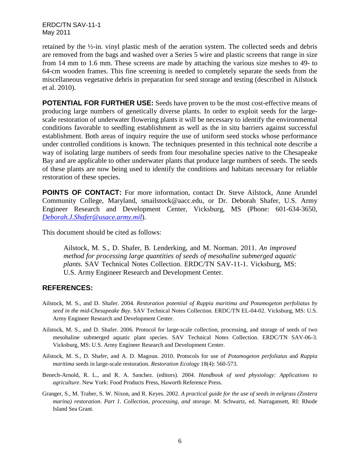ERDC/TN SAV-11-1 May 2011

retained by the ½-in. vinyl plastic mesh of the aeration system. The collected seeds and debris are removed from the bags and washed over a Series 5 wire and plastic screens that range in size from 14 mm to 1.6 mm. These screens are made by attaching the various size meshes to 49- to 64-cm wooden frames. This fine screening is needed to completely separate the seeds from the miscellaneous vegetative debris in preparation for seed storage and testing (described in Ailstock et al. 2010).

**POTENTIAL FOR FURTHER USE:** Seeds have proven to be the most cost-effective means of producing large numbers of genetically diverse plants. In order to exploit seeds for the largescale restoration of underwater flowering plants it will be necessary to identify the environmental conditions favorable to seedling establishment as well as the in situ barriers against successful establishment. Both areas of inquiry require the use of uniform seed stocks whose performance under controlled conditions is known. The techniques presented in this technical note describe a way of isolating large numbers of seeds from four mesohaline species native to the Chesapeake Bay and are applicable to other underwater plants that produce large numbers of seeds. The seeds of these plants are now being used to identify the conditions and habitats necessary for reliable restoration of these species.

**POINTS OF CONTACT:** For more information, contact Dr. Steve Ailstock, Anne Arundel Community College, Maryland, smailstock@aacc.edu, or Dr. Deborah Shafer, U.S. Army Engineer Research and Development Center, Vicksburg, MS (Phone: 601-634-3650, *[Deborah.J.Shafer@usace.army.mil](mailto:Deborah.J.Shafer@usace.army.mil)*).

This document should be cited as follows:

Ailstock, M. S., D. Shafer, B. Lenderking, and M. Norman. 2011. *An improved method for processing large quantities of seeds of mesohaline submerged aquatic plants*. SAV Technical Notes Collection. ERDC/TN SAV-11-1. Vicksburg, MS: U.S. Army Engineer Research and Development Center.

## **REFERENCES:**

- Ailstock, M. S., and D. Shafer. 2004. *Restoration potential of Ruppia maritima and Potamogeton perfoliatus by seed in the mid-Chesapeake Bay*. SAV Technical Notes Collection. ERDC/TN EL-04-02. Vicksburg, MS: U.S. Army Engineer Research and Development Center.
- Ailstock, M. S., and D. Shafer. 2006. Protocol for large-scale collection, processing, and storage of seeds of two mesohaline submerged aquatic plant species. SAV Technical Notes Collection. ERDC/TN SAV-06-3. Vicksburg, MS: U.S. Army Engineer Research and Development Center.
- Ailstock, M. S., D. Shafer, and A. D. Magoun. 2010. Protocols for use of *Potamogeton perfoliatus* and *Ruppia maritima* seeds in large-scale restoration. *Restoration Ecology* 18(4): 560-573.
- Benech-Arnold, R. L., and R. A. Sanchez. (editors). 2004. *Handbook of seed physiology: Applications to agriculture*. New York: Food Products Press, Haworth Reference Press.
- Granger, S., M. Traber, S. W. Nixon, and R. Keyes. 2002. *A practical guide for the use of seeds in eelgrass (Zostera marina) restoration. Part 1. Collection, processing, and storage*. M. Schwartz, ed. Narragansett, RI: Rhode Island Sea Grant.